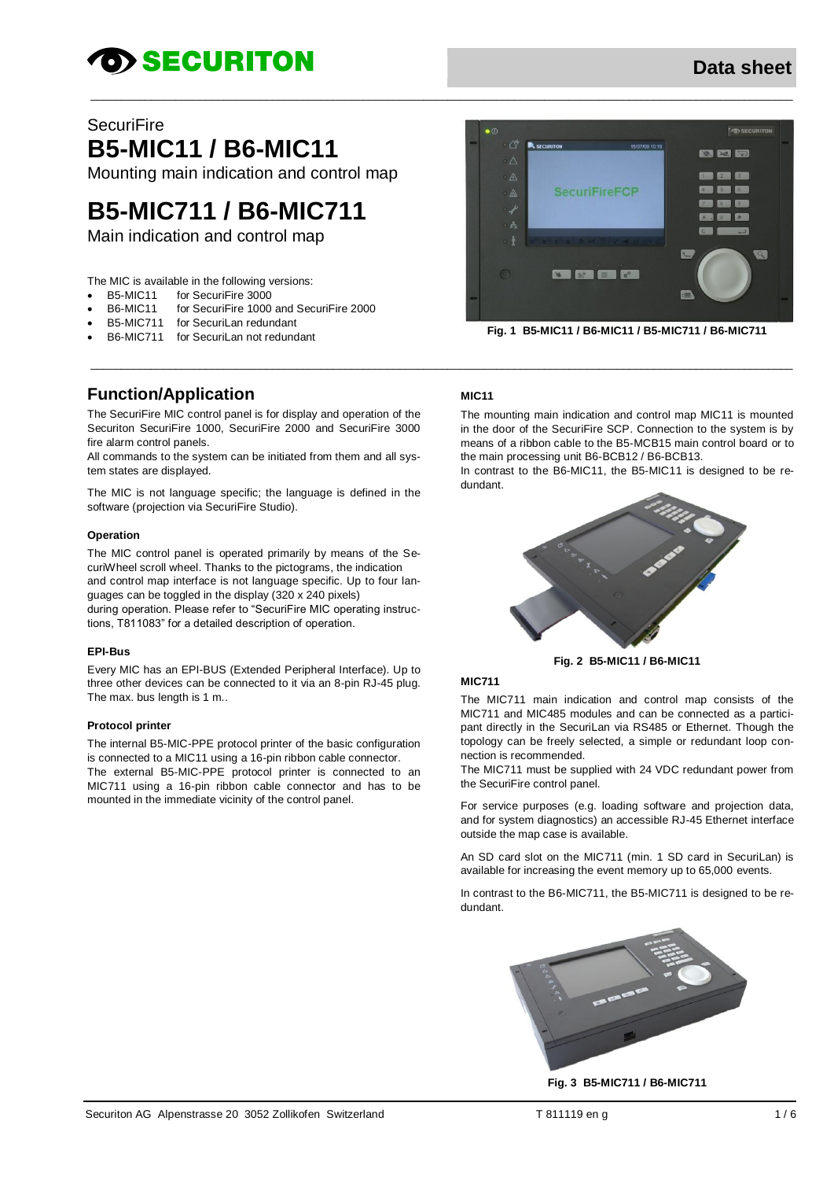# **OD SECURITON**

# Data sheet

### **SecuriFire**

**B5-MIC11 / B6-MIC11** 

Mounting main indication and control map

# **B5-MIC711 / B6-MIC711**

Main indication and control map

The MIC is available in the following versions:

- for SecuriFire 3000 **B5-MIC11**
- for SecuriFire 1000 and SecuriFire 2000 **B6-MIC11**
- for SecuriLan redundant **B5-MIC711**
- **B6-MIC711** for Securil an not redundant

### **Function/Application**

The SecuriFire MIC control panel is for display and operation of the Securiton SecuriFire 1000. SecuriFire 2000 and SecuriFire 3000 fire alarm control panels

All commands to the system can be initiated from them and all system states are displayed.

The MIC is not language specific; the language is defined in the software (projection via SecuriFire Studio).

#### Operation

The MIC control panel is operated primarily by means of the SecuriWheel scroll wheel. Thanks to the pictograms, the indication and control map interface is not language specific. Up to four languages can be toggled in the display (320 x 240 pixels) during operation. Please refer to "SecuriFire MIC operating instructions, T811083" for a detailed description of operation.

#### **EPI-Bus**

Every MIC has an EPI-BUS (Extended Peripheral Interface). Up to three other devices can be connected to it via an 8-pin RJ-45 plug. The max. bus length is 1 m..

#### **Protocol printer**

The internal B5-MIC-PPE protocol printer of the basic configuration is connected to a MIC11 using a 16-pin ribbon cable connector. The external B5-MIC-PPE protocol printer is connected to an MIC711 using a 16-pin ribbon cable connector and has to be mounted in the immediate vicinity of the control panel.



Fig. 1 B5-MIC11 / B6-MIC11 / B5-MIC711 / B6-MIC711

#### **MIC11**

The mounting main indication and control map MIC11 is mounted in the door of the SecuriFire SCP. Connection to the system is by means of a ribbon cable to the B5-MCB15 main control board or to the main processing unit B6-BCB12 / B6-BCB13.

In contrast to the B6-MIC11, the B5-MIC11 is designed to be redundant



Fig. 2 B5-MIC11 / B6-MIC11

#### **MIC711**

The MIC711 main indication and control map consists of the MIC711 and MIC485 modules and can be connected as a participant directly in the SecuriLan via RS485 or Ethernet. Though the topology can be freely selected, a simple or redundant loop connection is recommended.

The MIC711 must be supplied with 24 VDC redundant power from the SecuriFire control panel.

For service purposes (e.g. loading software and projection data, and for system diagnostics) an accessible RJ-45 Ethernet interface outside the map case is available.

An SD card slot on the MIC711 (min. 1 SD card in SecuriLan) is available for increasing the event memory up to 65,000 events.

In contrast to the B6-MIC711, the B5-MIC711 is designed to be redundant



Fig. 3 B5-MIC711 / B6-MIC711

T 811119 en q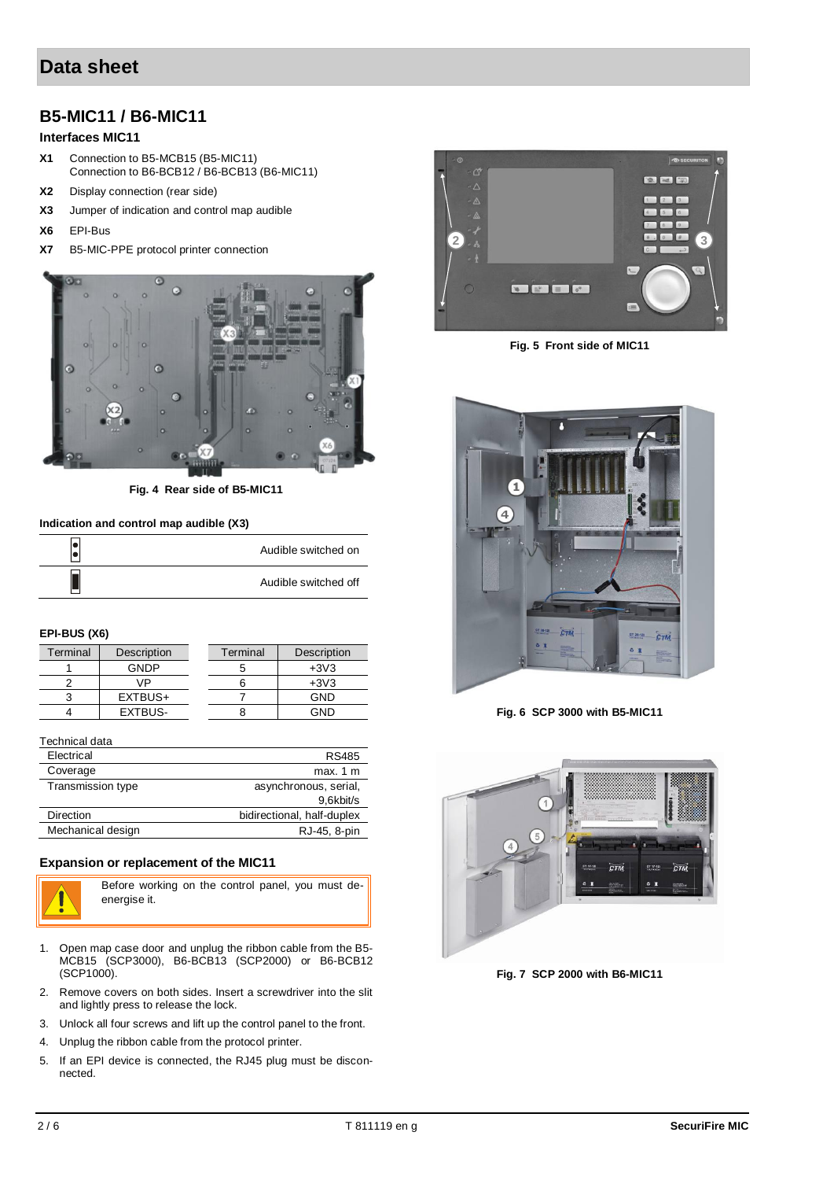# **Data sheet**

## **B5-MIC11 / B6-MIC11**

#### **Interfaces MIC11**

- **X1** Connection to B5-MCB15 (B5-MIC11) Connection to B6-BCB12 / B6-BCB13 (B6-MIC11)
- **X2** Display connection (rear side)
- **X3** Jumper of indication and control map audible
- **X6** EPI-Bus
- **X7** B5-MIC-PPE protocol printer connection



**Fig. 4 Rear side of B5-MIC11**

#### **Indication and control map audible (X3)**

| Audible switched on  |
|----------------------|
| Audible switched off |

#### **EPI-BUS (X6)**

| Terminal | Description | Terminal | Description |
|----------|-------------|----------|-------------|
|          | GNDP        |          | $+3V3$      |
|          | VP          |          | $+3V3$      |
|          | EXTBUS+     |          | GND         |
|          | EXTBUS-     |          | GND         |

| Technical data    |                            |
|-------------------|----------------------------|
| Electrical        | RS485                      |
| Coverage          | max. 1 m                   |
| Transmission type | asynchronous, serial,      |
|                   | 9,6kbit/s                  |
| Direction         | bidirectional, half-duplex |
| Mechanical design | RJ-45, 8-pin               |

#### **Expansion or replacement of the MIC11**



Before working on the control panel, you must deenergise it.

- 1. Open map case door and unplug the ribbon cable from the B5- MCB15 (SCP3000), B6-BCB13 (SCP2000) or B6-BCB12 (SCP1000).
- 2. Remove covers on both sides. Insert a screwdriver into the slit and lightly press to release the lock.
- 3. Unlock all four screws and lift up the control panel to the front.
- 4. Unplug the ribbon cable from the protocol printer.
- 5. If an EPI device is connected, the RJ45 plug must be disconnected.



**Fig. 5 Front side of MIC11**



**Fig. 6 SCP 3000 with B5-MIC11**



**Fig. 7 SCP 2000 with B6-MIC11**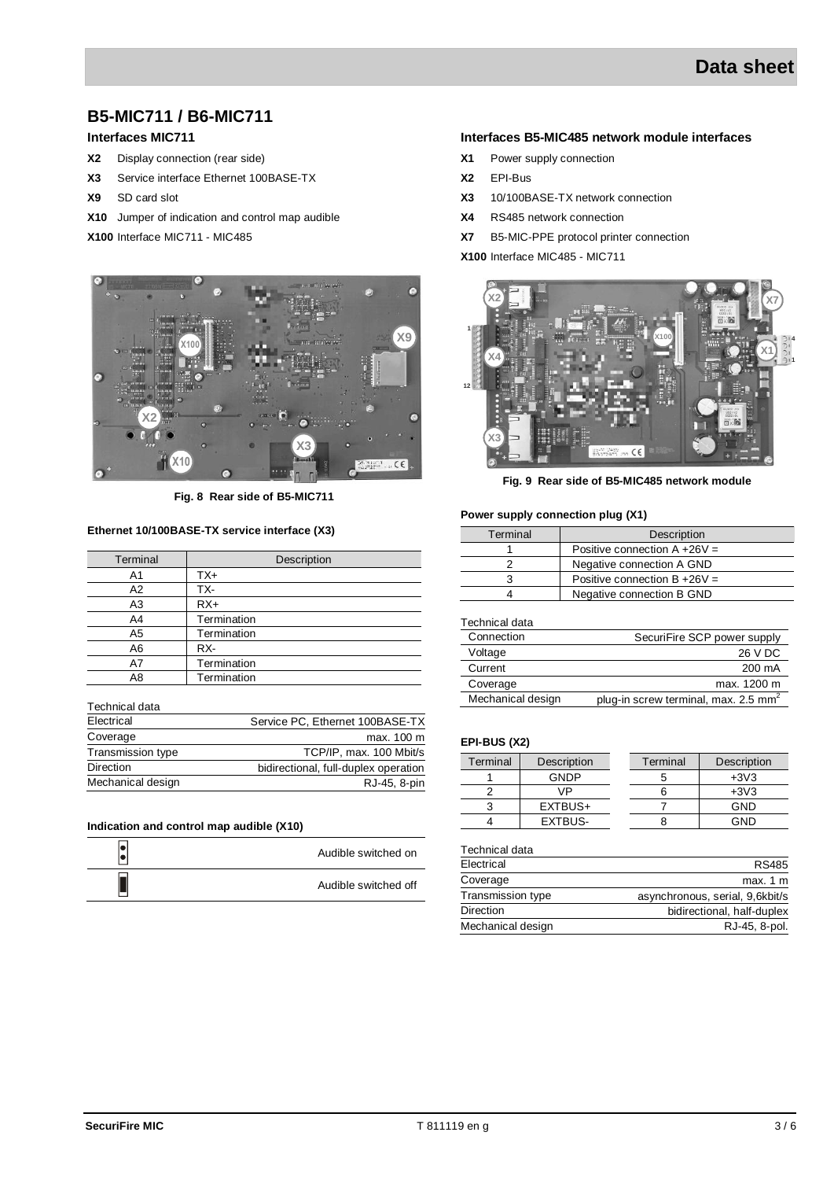# **B5-MIC711 / B6-MIC711**

### **Interfaces MIC711**

- **X2** Display connection (rear side)
- **X3** Service interface Ethernet 100BASE-TX
- **X9** SD card slot
- **X10** Jumper of indication and control map audible
- **X100** Interface MIC711 MIC485



**Fig. 8 Rear side of B5-MIC711**

#### **Ethernet 10/100BASE-TX service interface (X3)**

| Terminal       | Description |  |
|----------------|-------------|--|
| A <sub>1</sub> | TX+         |  |
| A2             | TX-         |  |
| A <sub>3</sub> | $RX+$       |  |
| A4             | Termination |  |
| A <sub>5</sub> | Termination |  |
| A6             | RX-         |  |
| A7             | Termination |  |
| A8             | Termination |  |

Technical data

| Electrical        | Service PC, Ethernet 100BASE-TX      |
|-------------------|--------------------------------------|
| Coverage          | max. 100 m                           |
| Transmission type | TCP/IP, max. 100 Mbit/s              |
| <b>Direction</b>  | bidirectional, full-duplex operation |
| Mechanical design | RJ-45, 8-pin                         |

#### **Indication and control map audible (X10)**

| Audible switched on  |
|----------------------|
| Audible switched off |

#### **Interfaces B5-MIC485 network module interfaces**

- **X1** Power supply connection
- **X2** EPI-Bus
- **X3** 10/100BASE-TX network connection
- **X4** RS485 network connection
- **X7** B5-MIC-PPE protocol printer connection

**X100** Interface MIC485 - MIC711



**Fig. 9 Rear side of B5-MIC485 network module**

#### **Power supply connection plug (X1)**

| Terminal | Description                     |
|----------|---------------------------------|
|          | Positive connection $A + 26V =$ |
|          | Negative connection A GND       |
|          | Positive connection $B + 26V =$ |
|          | Negative connection B GND       |

Technical data

| Connection        | SecuriFire SCP power supply                      |
|-------------------|--------------------------------------------------|
| Voltage           | 26 V DC                                          |
| Current           | 200 mA                                           |
| Coverage          | max. 1200 m                                      |
| Mechanical design | plug-in screw terminal, max. 2.5 mm <sup>2</sup> |

#### **EPI-BUS (X2)**

| Terminal | Description | Terminal | Description |
|----------|-------------|----------|-------------|
|          | <b>GNDP</b> |          | $+3V3$      |
|          | VP          |          | $+3V3$      |
|          | EXTBUS+     |          | GND         |
|          | EXTBUS-     |          | GND         |

| RS485                           |
|---------------------------------|
| max. 1 m                        |
| asynchronous, serial, 9,6kbit/s |
| bidirectional, half-duplex      |
| RJ-45, 8-pol.                   |
|                                 |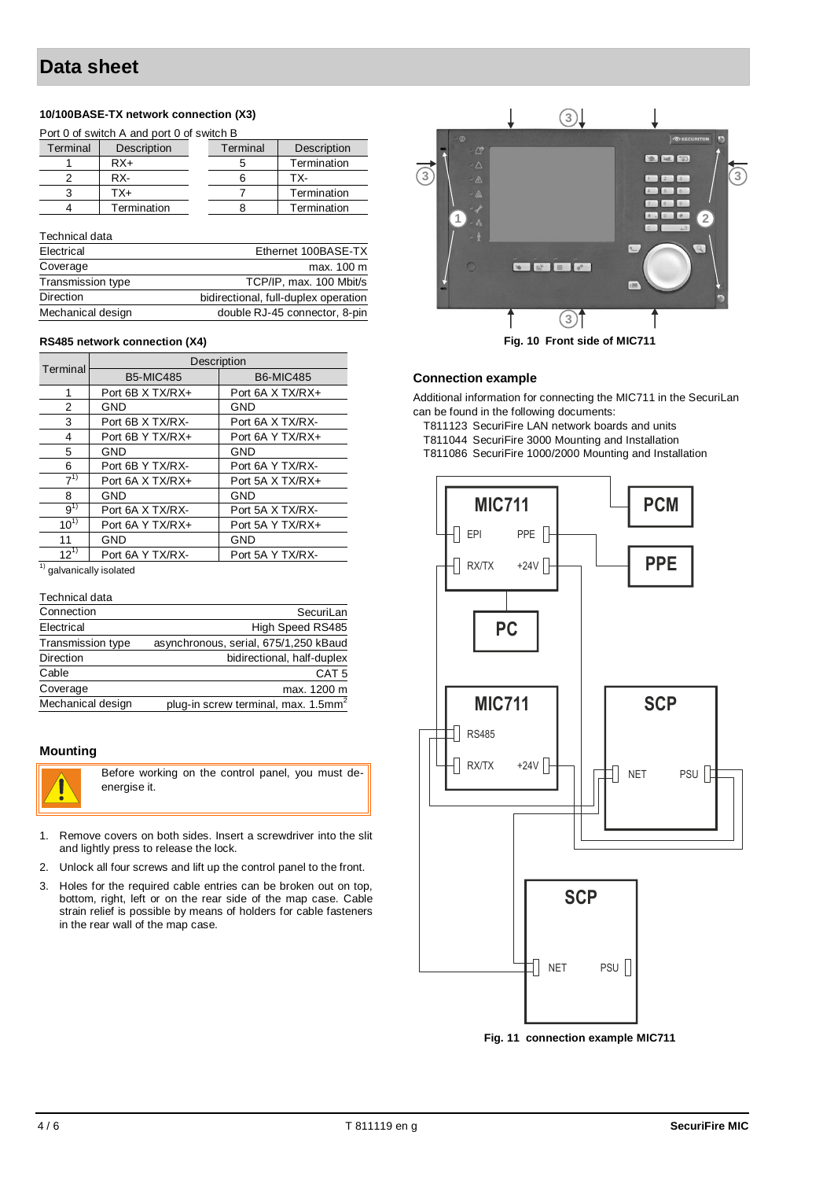### **10/100BASE-TX network connection (X3)**

| Port 0 of switch A and port 0 of switch B |             |  |                                      |                     |  |
|-------------------------------------------|-------------|--|--------------------------------------|---------------------|--|
| Terminal                                  | Description |  | Terminal                             | Description         |  |
|                                           | $RX+$       |  | 5                                    | Termination         |  |
| 2                                         | RX-         |  | 6                                    | TX-                 |  |
| 3                                         | $TX+$       |  | 7                                    | Termination         |  |
| 4                                         | Termination |  | 8                                    | Termination         |  |
| Technical data                            |             |  |                                      |                     |  |
| Electrical                                |             |  |                                      | Ethernet 100BASE-TX |  |
| Coverage                                  |             |  |                                      | max. 100 m          |  |
| Transmission type                         |             |  | TCP/IP, max. 100 Mbit/s              |                     |  |
| Direction                                 |             |  | bidirectional, full-duplex operation |                     |  |
| Mechanical design                         |             |  | double RJ-45 connector, 8-pin        |                     |  |

#### **RS485 network connection (X4)**

| Terminal | Description      |                  |  |  |
|----------|------------------|------------------|--|--|
|          | <b>B5-MIC485</b> | <b>B6-MIC485</b> |  |  |
|          | Port 6B X TX/RX+ | Port 6A X TX/RX+ |  |  |
| 2        | <b>GND</b>       | GND              |  |  |
| 3        | Port 6B X TX/RX- | Port 6A X TX/RX- |  |  |
| 4        | Port 6B Y TX/RX+ | Port 6A Y TX/RX+ |  |  |
| 5        | GND              | <b>GND</b>       |  |  |
| 6        | Port 6B Y TX/RX- | Port 6A Y TX/RX- |  |  |
| $7^{1}$  | Port 6A X TX/RX+ | Port 5A X TX/RX+ |  |  |
| 8        | GND              | <b>GND</b>       |  |  |
| $9^{1)}$ | Port 6A X TX/RX- | Port 5A X TX/RX- |  |  |
| $10^{1}$ | Port 6A Y TX/RX+ | Port 5A Y TX/RX+ |  |  |
| 11       | GND              | <b>GND</b>       |  |  |
| $12^{1}$ | Port 6A Y TX/RX- | Port 5A Y TX/RX- |  |  |

 $\overline{1)}$  galvanically isolated

| Technical data |
|----------------|
|                |

| Connection        | SecuriLan                                       |
|-------------------|-------------------------------------------------|
| Electrical        | High Speed RS485                                |
| Transmission type | asynchronous, serial, 675/1,250 kBaud           |
| <b>Direction</b>  | bidirectional, half-duplex                      |
| Cable             | CAT <sub>5</sub>                                |
| Coverage          | max. 1200 m                                     |
| Mechanical design | plug-in screw terminal, max. 1.5mm <sup>2</sup> |

#### **Mounting**



Before working on the control panel, you must deenergise it.

- 1. Remove covers on both sides. Insert a screwdriver into the slit and lightly press to release the lock.
- 2. Unlock all four screws and lift up the control panel to the front.
- 3. Holes for the required cable entries can be broken out on top, bottom, right, left or on the rear side of the map case. Cable strain relief is possible by means of holders for cable fasteners in the rear wall of the map case.



**Fig. 10 Front side of MIC711**

#### **Connection example**

Additional information for connecting the MIC711 in the SecuriLan can be found in the following documents:

T811123 SecuriFire LAN network boards and units T811044 SecuriFire 3000 Mounting and Installation

T811086 SecuriFire 1000/2000 Mounting and Installation



**Fig. 11 connection example MIC711**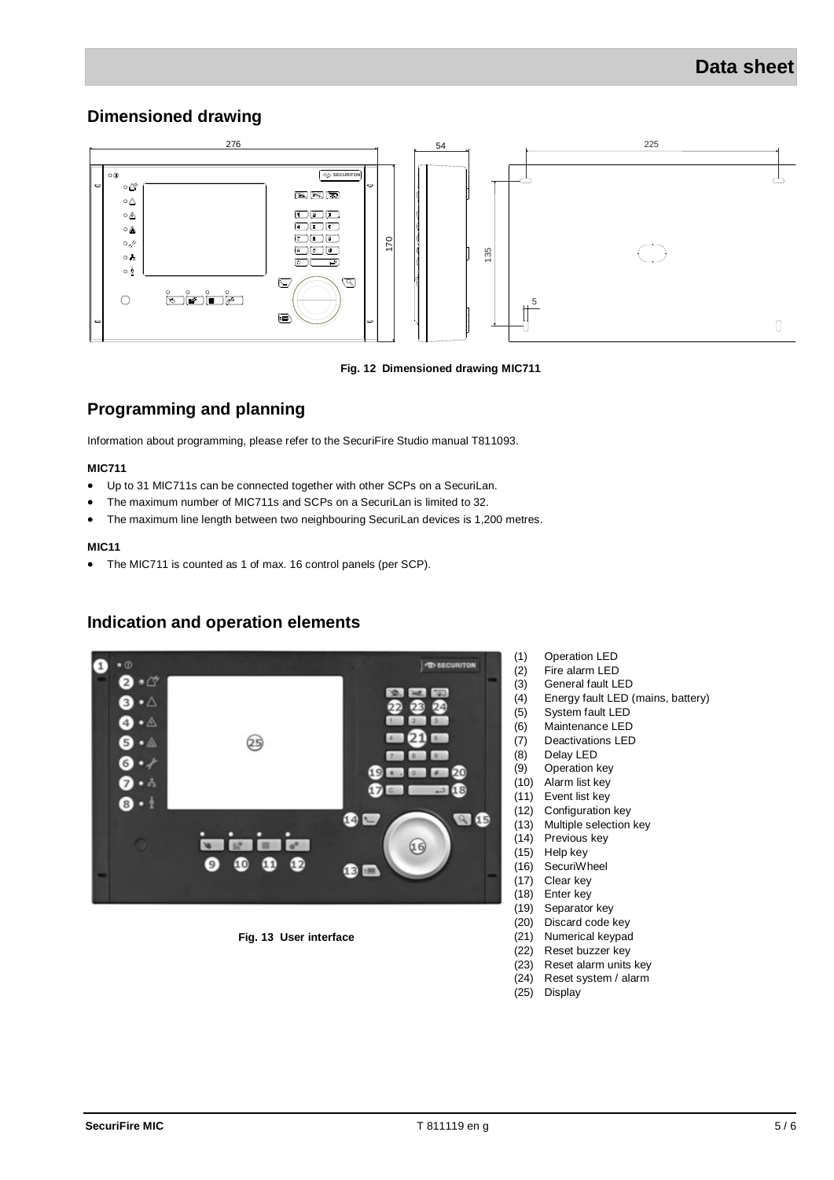### **Dimensioned drawing**



#### **Fig. 12 Dimensioned drawing MIC711**

# **Programming and planning**

Information about programming, please refer to the SecuriFire Studio manual T811093.

#### **MIC711**

- Up to 31 MIC711s can be connected together with other SCPs on a SecuriLan.
- The maximum number of MIC711s and SCPs on a SecuriLan is limited to 32.
- The maximum line length between two neighbouring SecuriLan devices is 1,200 metres.

#### **MIC11**

The MIC711 is counted as 1 of max. 16 control panels (per SCP).

### **Indication and operation elements**



#### **Fig. 13 User interface**

- (1) Operation LED
- (2) Fire alarm LED
- (3) General fault LED
- (4) Energy fault LED (mains, battery)
- (5) System fault LED
- (6) Maintenance LED
- (7) Deactivations LED
- (8) Delay LED
- (9) Operation key
- (10) Alarm list key
- (11) Event list key (12) Configuration key
- (13) Multiple selection key
- (14) Previous key
- (15) Help key
- (16) SecuriWheel
- (17) Clear key
- (18) Enter key
- (19) Separator key
- (20) Discard code key (21) Numerical keypad
- (22) Reset buzzer key
- (23) Reset alarm units key
- (24) Reset system / alarm
- (25) Display